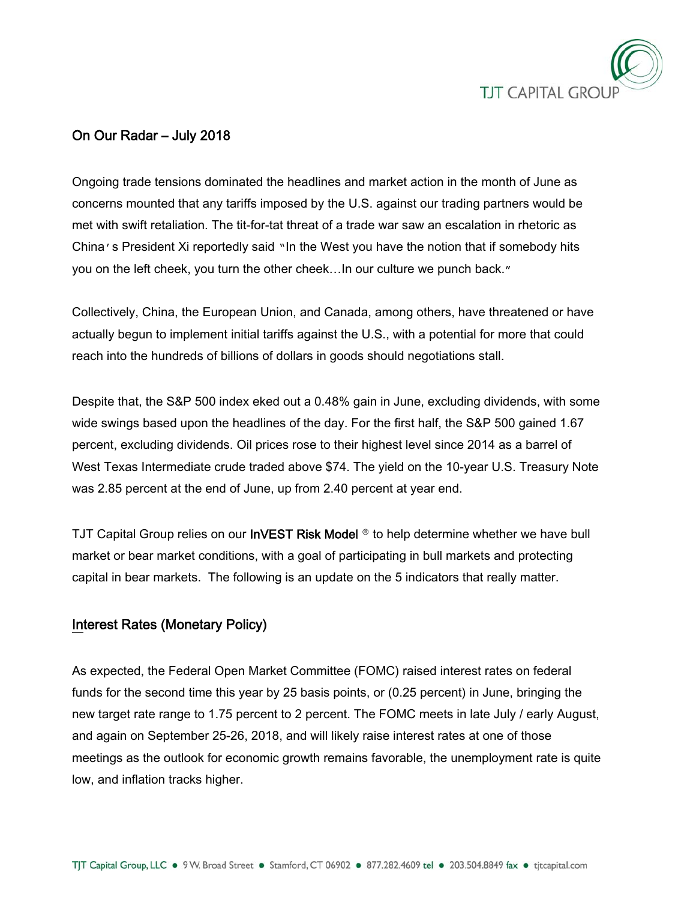

## On Our Radar – July 2018

Ongoing trade tensions dominated the headlines and market action in the month of June as concerns mounted that any tariffs imposed by the U.S. against our trading partners would be met with swift retaliation. The tit-for-tat threat of a trade war saw an escalation in rhetoric as China's President Xi reportedly said "In the West you have the notion that if somebody hits you on the left cheek, you turn the other cheek…In our culture we punch back."

Collectively, China, the European Union, and Canada, among others, have threatened or have actually begun to implement initial tariffs against the U.S., with a potential for more that could reach into the hundreds of billions of dollars in goods should negotiations stall.

Despite that, the S&P 500 index eked out a 0.48% gain in June, excluding dividends, with some wide swings based upon the headlines of the day. For the first half, the S&P 500 gained 1.67 percent, excluding dividends. Oil prices rose to their highest level since 2014 as a barrel of West Texas Intermediate crude traded above \$74. The yield on the 10-year U.S. Treasury Note was 2.85 percent at the end of June, up from 2.40 percent at year end.

TJT Capital Group relies on our InVEST Risk Model **®** to help determine whether we have bull market or bear market conditions, with a goal of participating in bull markets and protecting capital in bear markets. The following is an update on the 5 indicators that really matter.

### Interest Rates (Monetary Policy)

As expected, the Federal Open Market Committee (FOMC) raised interest rates on federal funds for the second time this year by 25 basis points, or (0.25 percent) in June, bringing the new target rate range to 1.75 percent to 2 percent. The FOMC meets in late July / early August, and again on September 25-26, 2018, and will likely raise interest rates at one of those meetings as the outlook for economic growth remains favorable, the unemployment rate is quite low, and inflation tracks higher.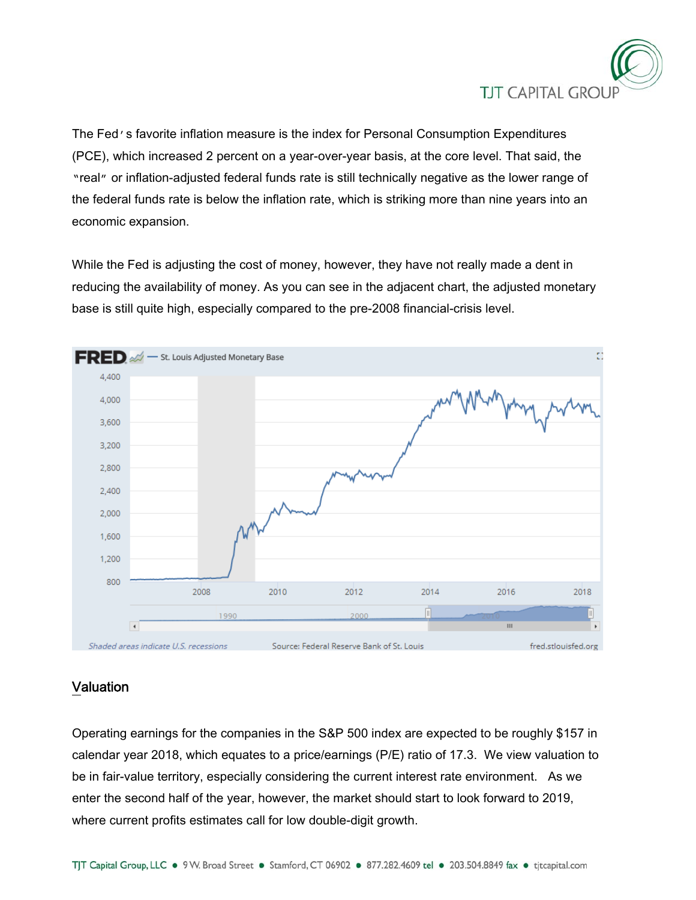

The Fed's favorite inflation measure is the index for Personal Consumption Expenditures (PCE), which increased 2 percent on a year-over-year basis, at the core level. That said, the "real" or inflation-adjusted federal funds rate is still technically negative as the lower range of the federal funds rate is below the inflation rate, which is striking more than nine years into an economic expansion.

While the Fed is adjusting the cost of money, however, they have not really made a dent in reducing the availability of money. As you can see in the adjacent chart, the adjusted monetary base is still quite high, especially compared to the pre-2008 financial-crisis level.



## Valuation

Operating earnings for the companies in the S&P 500 index are expected to be roughly \$157 in calendar year 2018, which equates to a price/earnings (P/E) ratio of 17.3. We view valuation to be in fair-value territory, especially considering the current interest rate environment. As we enter the second half of the year, however, the market should start to look forward to 2019, where current profits estimates call for low double-digit growth.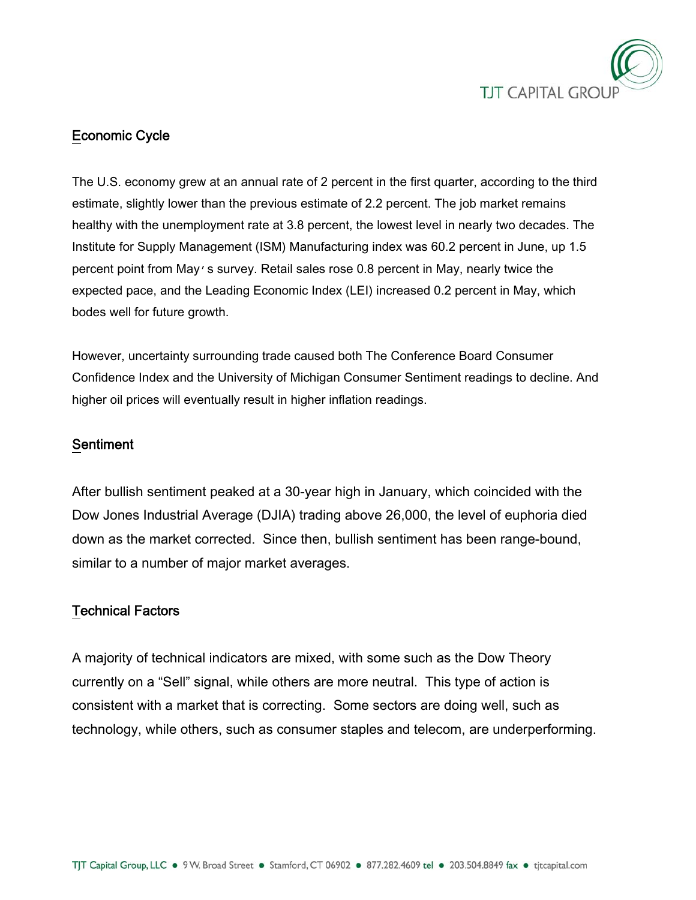

# Economic Cycle

The U.S. economy grew at an annual rate of 2 percent in the first quarter, according to the third estimate, slightly lower than the previous estimate of 2.2 percent. The job market remains healthy with the unemployment rate at 3.8 percent, the lowest level in nearly two decades. The Institute for Supply Management (ISM) Manufacturing index was 60.2 percent in June, up 1.5 percent point from May's survey. Retail sales rose 0.8 percent in May, nearly twice the expected pace, and the Leading Economic Index (LEI) increased 0.2 percent in May, which bodes well for future growth.

However, uncertainty surrounding trade caused both The Conference Board Consumer Confidence Index and the University of Michigan Consumer Sentiment readings to decline. And higher oil prices will eventually result in higher inflation readings.

### **Sentiment**

After bullish sentiment peaked at a 30-year high in January, which coincided with the Dow Jones Industrial Average (DJIA) trading above 26,000, the level of euphoria died down as the market corrected. Since then, bullish sentiment has been range-bound, similar to a number of major market averages.

### Technical Factors

A majority of technical indicators are mixed, with some such as the Dow Theory currently on a "Sell" signal, while others are more neutral. This type of action is consistent with a market that is correcting. Some sectors are doing well, such as technology, while others, such as consumer staples and telecom, are underperforming.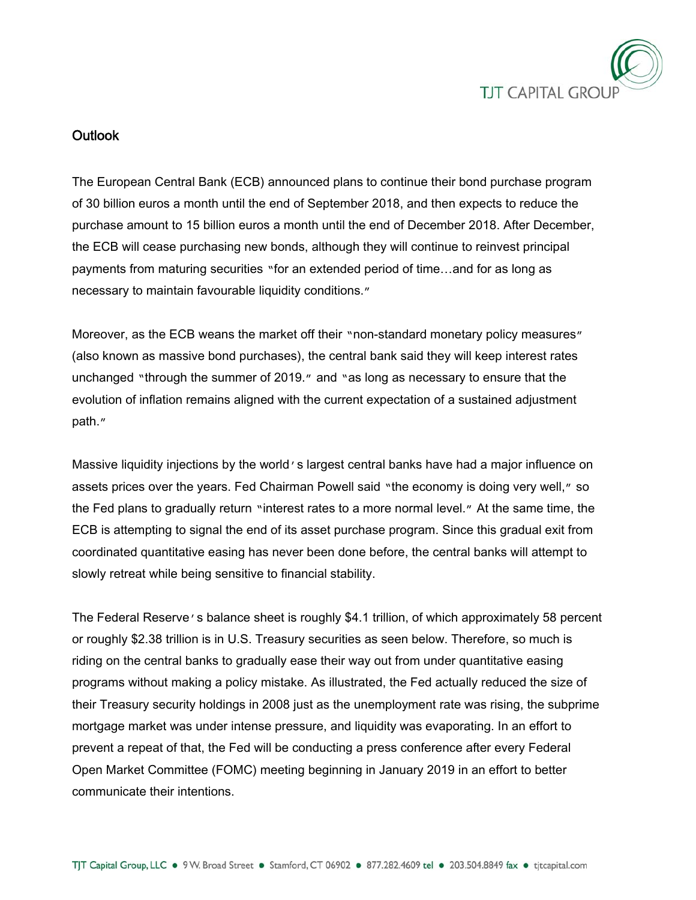

### Outlook

The European Central Bank (ECB) announced plans to continue their bond purchase program of 30 billion euros a month until the end of September 2018, and then expects to reduce the purchase amount to 15 billion euros a month until the end of December 2018. After December, the ECB will cease purchasing new bonds, although they will continue to reinvest principal payments from maturing securities "for an extended period of time…and for as long as necessary to maintain favourable liquidity conditions."

Moreover, as the ECB weans the market off their "non-standard monetary policy measures" (also known as massive bond purchases), the central bank said they will keep interest rates unchanged "through the summer of 2019." and "as long as necessary to ensure that the evolution of inflation remains aligned with the current expectation of a sustained adjustment path."

Massive liquidity injections by the world's largest central banks have had a major influence on assets prices over the years. Fed Chairman Powell said "the economy is doing very well," so the Fed plans to gradually return "interest rates to a more normal level." At the same time, the ECB is attempting to signal the end of its asset purchase program. Since this gradual exit from coordinated quantitative easing has never been done before, the central banks will attempt to slowly retreat while being sensitive to financial stability.

The Federal Reserve's balance sheet is roughly \$4.1 trillion, of which approximately 58 percent or roughly \$2.38 trillion is in U.S. Treasury securities as seen below. Therefore, so much is riding on the central banks to gradually ease their way out from under quantitative easing programs without making a policy mistake. As illustrated, the Fed actually reduced the size of their Treasury security holdings in 2008 just as the unemployment rate was rising, the subprime mortgage market was under intense pressure, and liquidity was evaporating. In an effort to prevent a repeat of that, the Fed will be conducting a press conference after every Federal Open Market Committee (FOMC) meeting beginning in January 2019 in an effort to better communicate their intentions.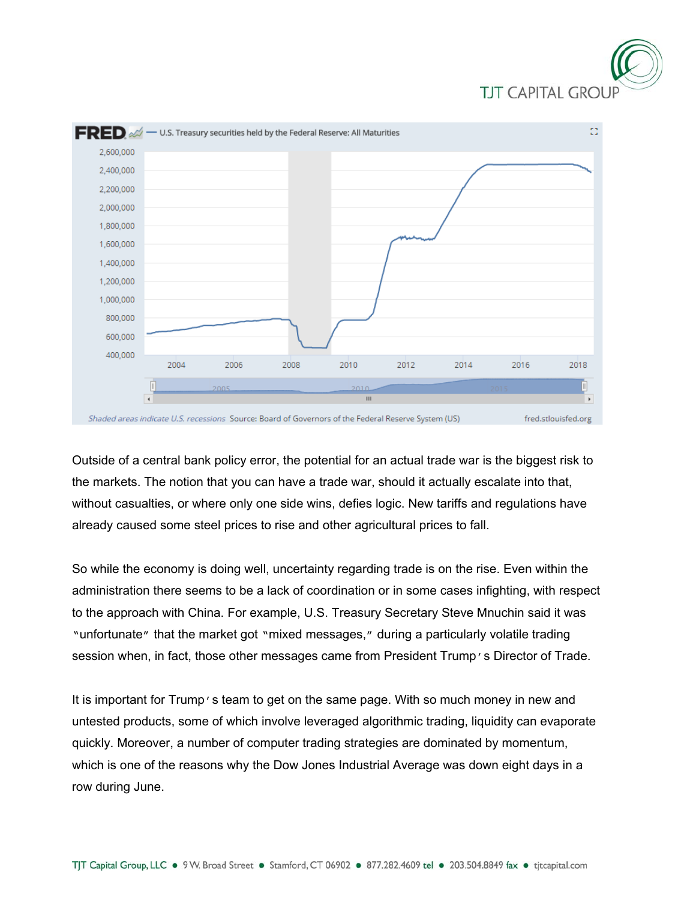



Outside of a central bank policy error, the potential for an actual trade war is the biggest risk to the markets. The notion that you can have a trade war, should it actually escalate into that, without casualties, or where only one side wins, defies logic. New tariffs and regulations have already caused some steel prices to rise and other agricultural prices to fall.

So while the economy is doing well, uncertainty regarding trade is on the rise. Even within the administration there seems to be a lack of coordination or in some cases infighting, with respect to the approach with China. For example, U.S. Treasury Secretary Steve Mnuchin said it was "unfortunate" that the market got "mixed messages," during a particularly volatile trading session when, in fact, those other messages came from President Trump's Director of Trade.

It is important for Trump's team to get on the same page. With so much money in new and untested products, some of which involve leveraged algorithmic trading, liquidity can evaporate quickly. Moreover, a number of computer trading strategies are dominated by momentum, which is one of the reasons why the Dow Jones Industrial Average was down eight days in a row during June.